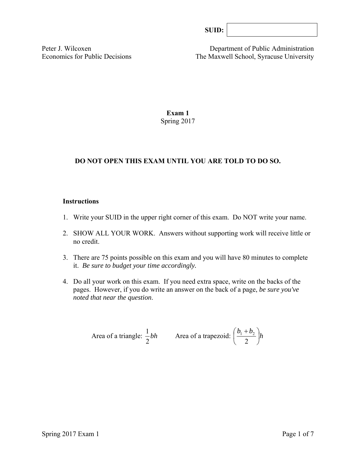| SUB: |  |
|------|--|
|------|--|

Peter J. Wilcoxen Department of Public Administration Economics for Public Decisions The Maxwell School, Syracuse University

### **Exam 1**  Spring 2017

# **DO NOT OPEN THIS EXAM UNTIL YOU ARE TOLD TO DO SO.**

#### **Instructions**

- 1. Write your SUID in the upper right corner of this exam. Do NOT write your name.
- 2. SHOW ALL YOUR WORK. Answers without supporting work will receive little or no credit.
- 3. There are 75 points possible on this exam and you will have 80 minutes to complete it. *Be sure to budget your time accordingly.*
- 4. Do all your work on this exam. If you need extra space, write on the backs of the pages. However, if you do write an answer on the back of a page, *be sure you've noted that near the question*.

Area of a triangle: 
$$
\frac{1}{2}bh
$$
 Area of a trapezoid:  $\left(\frac{b_1 + b_2}{2}\right)h$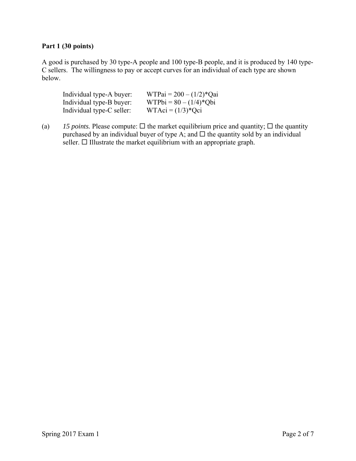# **Part 1 (30 points)**

A good is purchased by 30 type-A people and 100 type-B people, and it is produced by 140 type-C sellers. The willingness to pay or accept curves for an individual of each type are shown below.

| Individual type-A buyer:  | $WTPai = 200 - (1/2)*Qai$ |
|---------------------------|---------------------------|
| Individual type-B buyer:  | $WTPbi = 80 - (1/4)*Qbi$  |
| Individual type-C seller: | $WTAci = (1/3)*Qci$       |

(a) 15 points. Please compute:  $\Box$  the market equilibrium price and quantity;  $\Box$  the quantity purchased by an individual buyer of type A; and  $\Box$  the quantity sold by an individual  $s$ eller.  $\Box$  Illustrate the market equilibrium with an appropriate graph.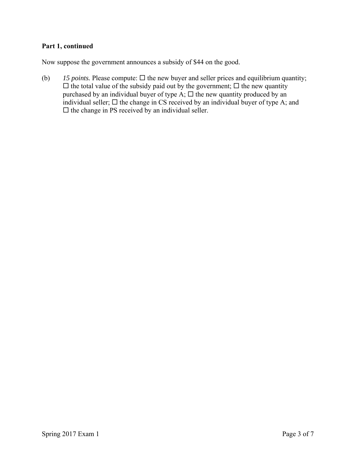# **Part 1, continued**

Now suppose the government announces a subsidy of \$44 on the good.

(b)  $15$  *points.* Please compute:  $\Box$  the new buyer and seller prices and equilibrium quantity;  $\Box$  the total value of the subsidy paid out by the government;  $\Box$  the new quantity purchased by an individual buyer of type  $A$ ;  $\Box$  the new quantity produced by an individual seller;  $\Box$  the change in CS received by an individual buyer of type A; and  $\square$  the change in PS received by an individual seller.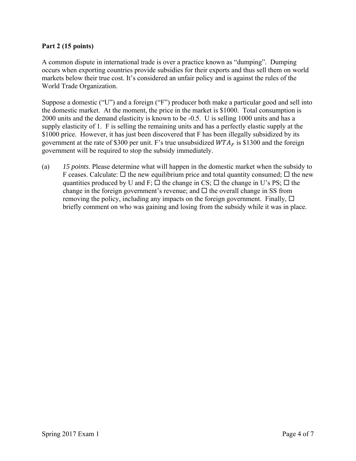### **Part 2 (15 points)**

A common dispute in international trade is over a practice known as "dumping". Dumping occurs when exporting countries provide subsidies for their exports and thus sell them on world markets below their true cost. It's considered an unfair policy and is against the rules of the World Trade Organization.

Suppose a domestic ("U") and a foreign ("F") producer both make a particular good and sell into the domestic market. At the moment, the price in the market is \$1000. Total consumption is 2000 units and the demand elasticity is known to be -0.5. U is selling 1000 units and has a supply elasticity of 1. F is selling the remaining units and has a perfectly elastic supply at the \$1000 price. However, it has just been discovered that F has been illegally subsidized by its government at the rate of \$300 per unit. F's true unsubsidized  $WTA<sub>F</sub>$  is \$1300 and the foreign government will be required to stop the subsidy immediately.

(a) *15 points*. Please determine what will happen in the domestic market when the subsidy to F ceases. Calculate:  $\Box$  the new equilibrium price and total quantity consumed;  $\Box$  the new quantities produced by U and F;  $\Box$  the change in CS;  $\Box$  the change in U's PS;  $\Box$  the change in the foreign government's revenue; and  $\Box$  the overall change in SS from removing the policy, including any impacts on the foreign government. Finally,  $\Box$ briefly comment on who was gaining and losing from the subsidy while it was in place.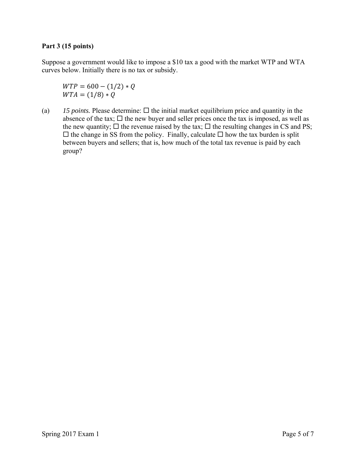### **Part 3 (15 points)**

Suppose a government would like to impose a \$10 tax a good with the market WTP and WTA curves below. Initially there is no tax or subsidy.

 $WTP = 600 - (1/2) * Q$  $WTA = (1/8) * Q$ 

(a)  $15$  *points.* Please determine:  $\Box$  the initial market equilibrium price and quantity in the absence of the tax;  $\Box$  the new buyer and seller prices once the tax is imposed, as well as the new quantity;  $\Box$  the revenue raised by the tax;  $\Box$  the resulting changes in CS and PS;  $\Box$  the change in SS from the policy. Finally, calculate  $\Box$  how the tax burden is split between buyers and sellers; that is, how much of the total tax revenue is paid by each group?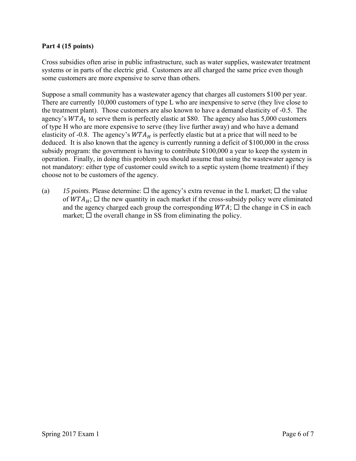### **Part 4 (15 points)**

Cross subsidies often arise in public infrastructure, such as water supplies, wastewater treatment systems or in parts of the electric grid. Customers are all charged the same price even though some customers are more expensive to serve than others.

Suppose a small community has a wastewater agency that charges all customers \$100 per year. There are currently 10,000 customers of type L who are inexpensive to serve (they live close to the treatment plant). Those customers are also known to have a demand elasticity of -0.5. The agency's  $WTA_L$  to serve them is perfectly elastic at \$80. The agency also has 5,000 customers of type H who are more expensive to serve (they live further away) and who have a demand elasticity of -0.8. The agency's  $WTA_H$  is perfectly elastic but at a price that will need to be deduced. It is also known that the agency is currently running a deficit of \$100,000 in the cross subsidy program: the government is having to contribute \$100,000 a year to keep the system in operation. Finally, in doing this problem you should assume that using the wastewater agency is not mandatory: either type of customer could switch to a septic system (home treatment) if they choose not to be customers of the agency.

(a) *15 points*. Please determine:  $\Box$  the agency's extra revenue in the L market;  $\Box$  the value of  $WTA_H$ ;  $\square$  the new quantity in each market if the cross-subsidy policy were eliminated and the agency charged each group the corresponding  $WTA$ ;  $\square$  the change in CS in each market;  $\Box$  the overall change in SS from eliminating the policy.